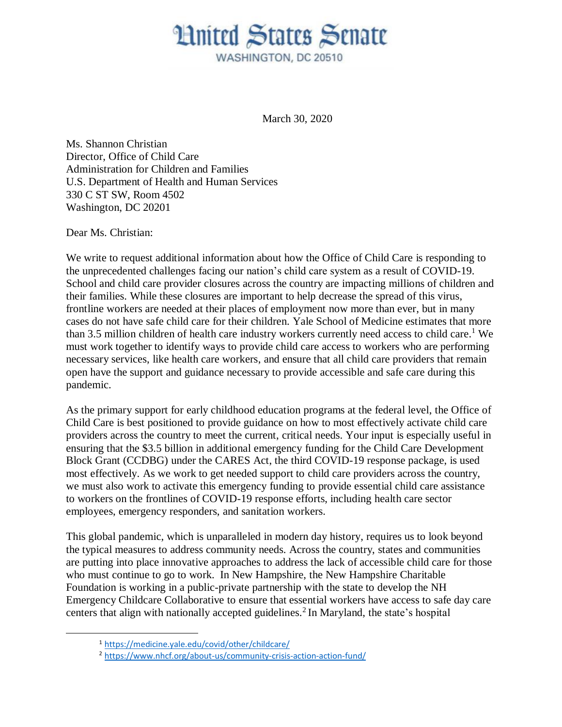## **Hnited States Senate** WASHINGTON, DC 20510

March 30, 2020

Ms. Shannon Christian Director, Office of Child Care Administration for Children and Families U.S. Department of Health and Human Services 330 C ST SW, Room 4502 Washington, DC 20201

Dear Ms. Christian:

 $\overline{a}$ 

We write to request additional information about how the Office of Child Care is responding to the unprecedented challenges facing our nation's child care system as a result of COVID-19. School and child care provider closures across the country are impacting millions of children and their families. While these closures are important to help decrease the spread of this virus, frontline workers are needed at their places of employment now more than ever, but in many cases do not have safe child care for their children. Yale School of Medicine estimates that more than 3.5 million children of health care industry workers currently need access to child care. <sup>1</sup> We must work together to identify ways to provide child care access to workers who are performing necessary services, like health care workers, and ensure that all child care providers that remain open have the support and guidance necessary to provide accessible and safe care during this pandemic.

As the primary support for early childhood education programs at the federal level, the Office of Child Care is best positioned to provide guidance on how to most effectively activate child care providers across the country to meet the current, critical needs. Your input is especially useful in ensuring that the \$3.5 billion in additional emergency funding for the Child Care Development Block Grant (CCDBG) under the CARES Act, the third COVID-19 response package, is used most effectively. As we work to get needed support to child care providers across the country, we must also work to activate this emergency funding to provide essential child care assistance to workers on the frontlines of COVID-19 response efforts, including health care sector employees, emergency responders, and sanitation workers.

This global pandemic, which is unparalleled in modern day history, requires us to look beyond the typical measures to address community needs. Across the country, states and communities are putting into place innovative approaches to address the lack of accessible child care for those who must continue to go to work. In New Hampshire, the New Hampshire Charitable Foundation is working in a public-private partnership with the state to develop the NH Emergency Childcare Collaborative to ensure that essential workers have access to safe day care centers that align with nationally accepted guidelines.<sup>2</sup> In Maryland, the state's hospital

<sup>1</sup> <https://medicine.yale.edu/covid/other/childcare/>

<sup>2</sup> <https://www.nhcf.org/about-us/community-crisis-action-action-fund/>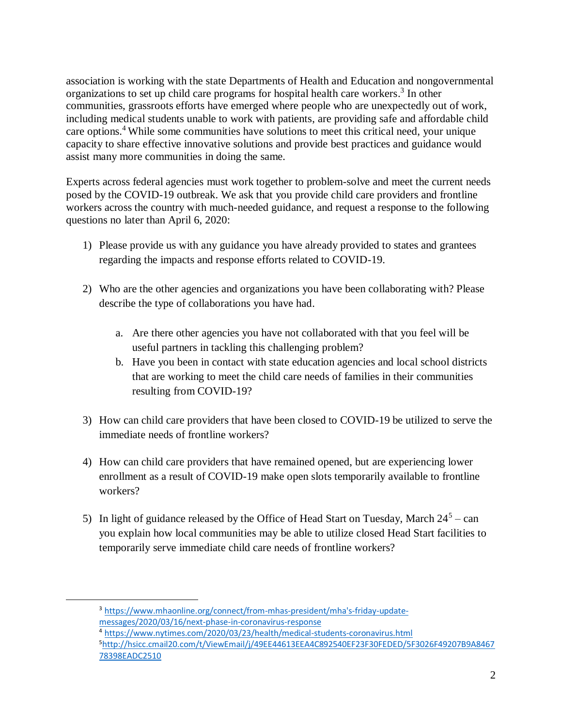association is working with the state Departments of Health and Education and nongovernmental organizations to set up child care programs for hospital health care workers.<sup>3</sup> In other communities, grassroots efforts have emerged where people who are unexpectedly out of work, including medical students unable to work with patients, are providing safe and affordable child care options. <sup>4</sup> While some communities have solutions to meet this critical need, your unique capacity to share effective innovative solutions and provide best practices and guidance would assist many more communities in doing the same.

Experts across federal agencies must work together to problem-solve and meet the current needs posed by the COVID-19 outbreak. We ask that you provide child care providers and frontline workers across the country with much-needed guidance, and request a response to the following questions no later than April 6, 2020:

- 1) Please provide us with any guidance you have already provided to states and grantees regarding the impacts and response efforts related to COVID-19.
- 2) Who are the other agencies and organizations you have been collaborating with? Please describe the type of collaborations you have had.
	- a. Are there other agencies you have not collaborated with that you feel will be useful partners in tackling this challenging problem?
	- b. Have you been in contact with state education agencies and local school districts that are working to meet the child care needs of families in their communities resulting from COVID-19?
- 3) How can child care providers that have been closed to COVID-19 be utilized to serve the immediate needs of frontline workers?
- 4) How can child care providers that have remained opened, but are experiencing lower enrollment as a result of COVID-19 make open slots temporarily available to frontline workers?
- 5) In light of guidance released by the Office of Head Start on Tuesday, March  $24^5$  can you explain how local communities may be able to utilize closed Head Start facilities to temporarily serve immediate child care needs of frontline workers?

 $\overline{a}$ 

<sup>3</sup> [https://www.mhaonline.org/connect/from-mhas-president/mha's-friday-update](https://www.mhaonline.org/connect/from-mhas-president/mha)[messages/2020/03/16/next-phase-in-coronavirus-response](https://www.mhaonline.org/connect/from-mhas-president/mha)

<sup>4</sup> <https://www.nytimes.com/2020/03/23/health/medical-students-coronavirus.html>

<sup>5</sup>[http://hsicc.cmail20.com/t/ViewEmail/j/49EE44613EEA4C892540EF23F30FEDED/5F3026F49207B9A8467](http://hsicc.cmail20.com/t/ViewEmail/j/49EE44613EEA4C892540EF23F30FEDED/5F3026F49207B9A846778398EADC2510) [78398EADC2510](http://hsicc.cmail20.com/t/ViewEmail/j/49EE44613EEA4C892540EF23F30FEDED/5F3026F49207B9A846778398EADC2510)